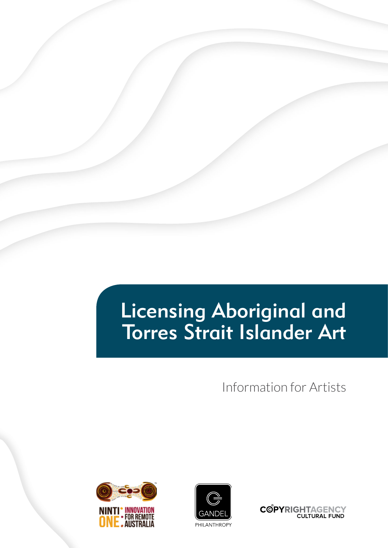# Licensing Aboriginal and Torres Strait Islander Art

Information for Artists





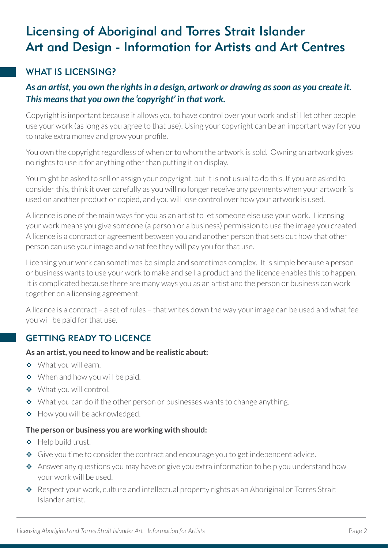## Licensing of Aboriginal and Torres Strait Islander Art and Design - Information for Artists and Art Centres

## WHAT IS LICENSING?

#### *As an artist, you own the rights in a design, artwork or drawing as soon as you create it. This means that you own the 'copyright' in that work.*

Copyright is important because it allows you to have control over your work and still let other people use your work (as long as you agree to that use). Using your copyright can be an important way for you to make extra money and grow your profile.

You own the copyright regardless of when or to whom the artwork is sold. Owning an artwork gives no rights to use it for anything other than putting it on display.

You might be asked to sell or assign your copyright, but it is not usual to do this. If you are asked to consider this, think it over carefully as you will no longer receive any payments when your artwork is used on another product or copied, and you will lose control over how your artwork is used.

A licence is one of the main ways for you as an artist to let someone else use your work. Licensing your work means you give someone (a person or a business) permission to use the image you created. A licence is a contract or agreement between you and another person that sets out how that other person can use your image and what fee they will pay you for that use.

Licensing your work can sometimes be simple and sometimes complex. It is simple because a person or business wants to use your work to make and sell a product and the licence enables this to happen. It is complicated because there are many ways you as an artist and the person or business can work together on a licensing agreement.

A licence is a contract – a set of rules – that writes down the way your image can be used and what fee you will be paid for that use.

## GETTING READY TO LICENCE

#### **As an artist, you need to know and be realistic about:**

- ◆ What you will earn.
- ◆ When and how you will be paid.
- ◆ What you will control.
- $\triangleq$  What you can do if the other person or businesses wants to change anything.
- ◆ How you will be acknowledged.

#### **The person or business you are working with should:**

- ◆ Help build trust.
- Give you time to consider the contract and encourage you to get independent advice.
- \* Answer any questions you may have or give you extra information to help you understand how your work will be used.
- \* Respect your work, culture and intellectual property rights as an Aboriginal or Torres Strait Islander artist.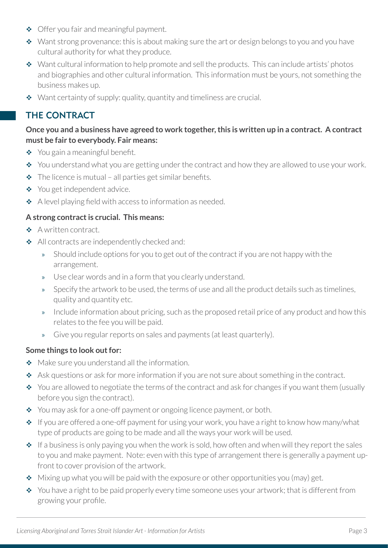- ◆ Offer you fair and meaningful payment.
- $\bullet\;\;$  Want strong provenance: this is about making sure the art or design belongs to you and you have cultural authority for what they produce.
- Want cultural information to help promote and sell the products. This can include artists' photos and biographies and other cultural information. This information must be yours, not something the business makes up.
- $\bullet$  Want certainty of supply: quality, quantity and timeliness are crucial.

## THE CONTRACT

#### **Once you and a business have agreed to work together, this is written up in a contract. A contract must be fair to everybody. Fair means:**

- $\div$  You gain a meaningful benefit.
- $\cdot$  You understand what you are getting under the contract and how they are allowed to use your work.
- $\triangle$  The licence is mutual all parties get similar benefits.
- ◆ You get independent advice.
- $\triangle$  A level playing field with access to information as needed.

#### **A strong contract is crucial. This means:**

- ◆ A written contract.
- All contracts are independently checked and:
	- » Should include options for you to get out of the contract if you are not happy with the arrangement.
	- » Use clear words and in a form that you clearly understand.
	- » Specify the artwork to be used, the terms of use and all the product details such as timelines, quality and quantity etc.
	- » Include information about pricing, such as the proposed retail price of any product and how this relates to the fee you will be paid.
	- » Give you regular reports on sales and payments (at least quarterly).

#### **Some things to look out for:**

- Make sure you understand all the information.
- \* Ask questions or ask for more information if you are not sure about something in the contract.
- \* You are allowed to negotiate the terms of the contract and ask for changes if you want them (usually before you sign the contract).
- ◆ You may ask for a one-off payment or ongoing licence payment, or both.
- $\cdot \cdot$  If you are offered a one-off payment for using your work, you have a right to know how many/what type of products are going to be made and all the ways your work will be used.
- $\bullet$  If a business is only paying you when the work is sold, how often and when will they report the sales to you and make payment. Note: even with this type of arrangement there is generally a payment upfront to cover provision of the artwork.
- $\bullet$  Mixing up what you will be paid with the exposure or other opportunities you (may) get.
- $\bullet$  You have a right to be paid properly every time someone uses your artwork; that is different from growing your profile.